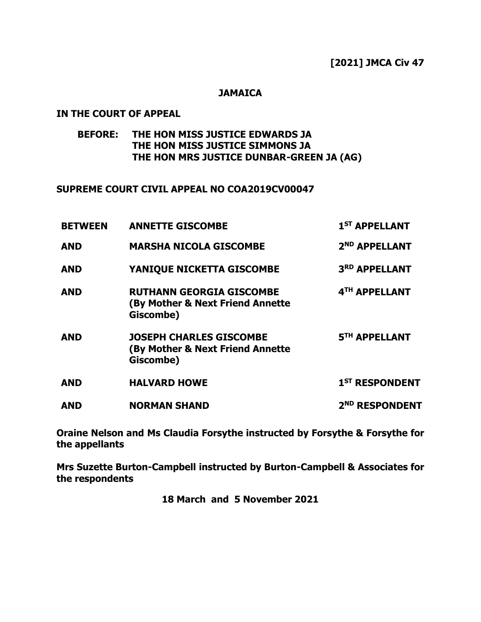#### **JAMAICA**

### **IN THE COURT OF APPEAL**

# **BEFORE: THE HON MISS JUSTICE EDWARDS JA THE HON MISS JUSTICE SIMMONS JA THE HON MRS JUSTICE DUNBAR-GREEN JA (AG)**

#### **SUPREME COURT CIVIL APPEAL NO COA2019CV00047**

| <b>BETWEEN</b> | <b>ANNETTE GISCOMBE</b>                                                          | 1 <sup>ST</sup> APPELLANT  |
|----------------|----------------------------------------------------------------------------------|----------------------------|
| <b>AND</b>     | <b>MARSHA NICOLA GISCOMBE</b>                                                    | 2 <sup>ND</sup> APPELLANT  |
| <b>AND</b>     | YANIQUE NICKETTA GISCOMBE                                                        | 3RD APPELLANT              |
| <b>AND</b>     | <b>RUTHANN GEORGIA GISCOMBE</b><br>(By Mother & Next Friend Annette<br>Giscombe) | 4TH APPELLANT              |
| <b>AND</b>     | <b>JOSEPH CHARLES GISCOMBE</b><br>(By Mother & Next Friend Annette<br>Giscombe)  | 5TH APPELLANT              |
| <b>AND</b>     | <b>HALVARD HOWE</b>                                                              | 1 <sup>ST</sup> RESPONDENT |
| <b>AND</b>     | <b>NORMAN SHAND</b>                                                              | 2 <sup>ND</sup> RESPONDENT |

**Oraine Nelson and Ms Claudia Forsythe instructed by Forsythe & Forsythe for the appellants**

**Mrs Suzette Burton-Campbell instructed by Burton-Campbell & Associates for the respondents** 

**18 March and 5 November 2021**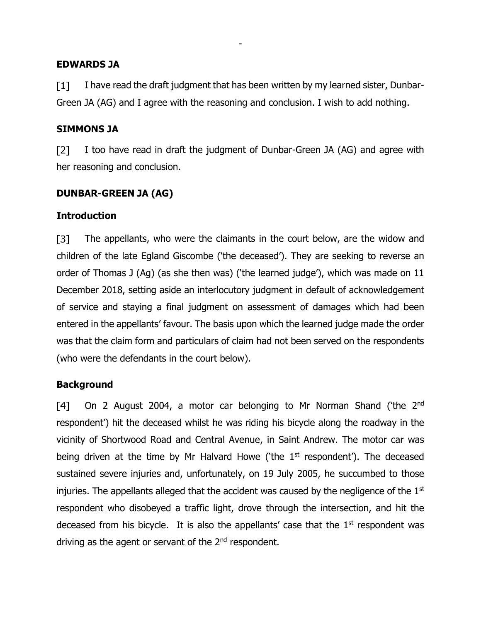#### **EDWARDS JA**

 $\lceil 1 \rceil$ I have read the draft judgment that has been written by my learned sister, Dunbar-Green JA (AG) and I agree with the reasoning and conclusion. I wish to add nothing.

-

### **SIMMONS JA**

 $\lceil 2 \rceil$ I too have read in draft the judgment of Dunbar-Green JA (AG) and agree with her reasoning and conclusion.

### **DUNBAR-GREEN JA (AG)**

#### **Introduction**

The appellants, who were the claimants in the court below, are the widow and  $\sqrt{31}$ children of the late Egland Giscombe ('the deceased'). They are seeking to reverse an order of Thomas J (Ag) (as she then was) ('the learned judge'), which was made on 11 December 2018, setting aside an interlocutory judgment in default of acknowledgement of service and staying a final judgment on assessment of damages which had been entered in the appellants' favour. The basis upon which the learned judge made the order was that the claim form and particulars of claim had not been served on the respondents (who were the defendants in the court below).

#### **Background**

On 2 August 2004, a motor car belonging to Mr Norman Shand ('the 2<sup>nd</sup> [4] respondent') hit the deceased whilst he was riding his bicycle along the roadway in the vicinity of Shortwood Road and Central Avenue, in Saint Andrew. The motor car was being driven at the time by Mr Halvard Howe ('the  $1<sup>st</sup>$  respondent'). The deceased sustained severe injuries and, unfortunately, on 19 July 2005, he succumbed to those injuries. The appellants alleged that the accident was caused by the negligence of the 1<sup>st</sup> respondent who disobeyed a traffic light, drove through the intersection, and hit the deceased from his bicycle. It is also the appellants' case that the  $1<sup>st</sup>$  respondent was driving as the agent or servant of the  $2<sup>nd</sup>$  respondent.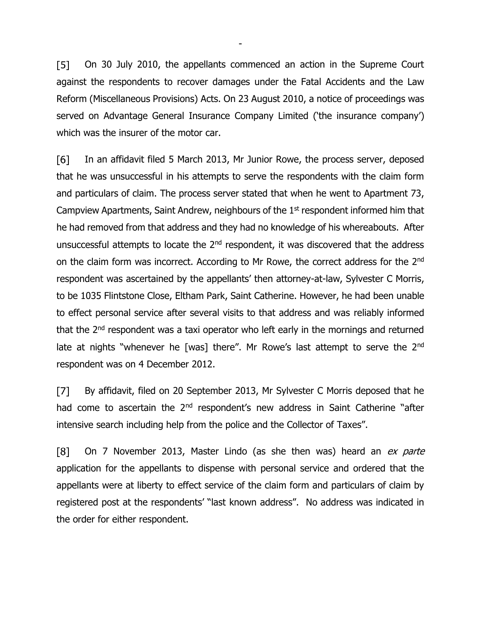$\sqrt{5}$ On 30 July 2010, the appellants commenced an action in the Supreme Court against the respondents to recover damages under the Fatal Accidents and the Law Reform (Miscellaneous Provisions) Acts. On 23 August 2010, a notice of proceedings was served on Advantage General Insurance Company Limited ('the insurance company') which was the insurer of the motor car.

-

In an affidavit filed 5 March 2013, Mr Junior Rowe, the process server, deposed [6] that he was unsuccessful in his attempts to serve the respondents with the claim form and particulars of claim. The process server stated that when he went to Apartment 73, Campview Apartments, Saint Andrew, neighbours of the 1<sup>st</sup> respondent informed him that he had removed from that address and they had no knowledge of his whereabouts. After unsuccessful attempts to locate the  $2<sup>nd</sup>$  respondent, it was discovered that the address on the claim form was incorrect. According to Mr Rowe, the correct address for the 2<sup>nd</sup> respondent was ascertained by the appellants' then attorney-at-law, Sylvester C Morris, to be 1035 Flintstone Close, Eltham Park, Saint Catherine. However, he had been unable to effect personal service after several visits to that address and was reliably informed that the 2<sup>nd</sup> respondent was a taxi operator who left early in the mornings and returned late at nights "whenever he [was] there". Mr Rowe's last attempt to serve the 2<sup>nd</sup> respondent was on 4 December 2012.

 $\lceil 7 \rceil$ By affidavit, filed on 20 September 2013, Mr Sylvester C Morris deposed that he had come to ascertain the  $2<sup>nd</sup>$  respondent's new address in Saint Catherine "after intensive search including help from the police and the Collector of Taxes".

 $\lceil 8 \rceil$ On 7 November 2013, Master Lindo (as she then was) heard an ex parte application for the appellants to dispense with personal service and ordered that the appellants were at liberty to effect service of the claim form and particulars of claim by registered post at the respondents' "last known address". No address was indicated in the order for either respondent.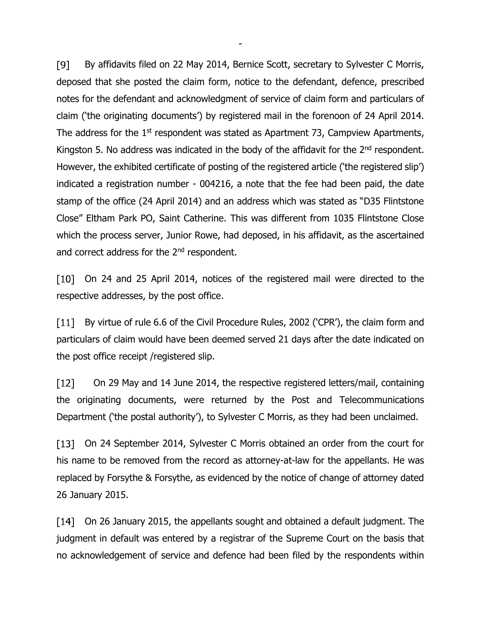$[9]$ By affidavits filed on 22 May 2014, Bernice Scott, secretary to Sylvester C Morris, deposed that she posted the claim form, notice to the defendant, defence, prescribed notes for the defendant and acknowledgment of service of claim form and particulars of claim ('the originating documents') by registered mail in the forenoon of 24 April 2014. The address for the 1<sup>st</sup> respondent was stated as Apartment 73, Campview Apartments, Kingston 5. No address was indicated in the body of the affidavit for the  $2<sup>nd</sup>$  respondent. However, the exhibited certificate of posting of the registered article ('the registered slip') indicated a registration number - 004216, a note that the fee had been paid, the date stamp of the office (24 April 2014) and an address which was stated as "D35 Flintstone Close" Eltham Park PO, Saint Catherine. This was different from 1035 Flintstone Close which the process server, Junior Rowe, had deposed, in his affidavit, as the ascertained and correct address for the 2<sup>nd</sup> respondent.

-

On 24 and 25 April 2014, notices of the registered mail were directed to the  $\lceil 10 \rceil$ respective addresses, by the post office.

 $\lceil 11 \rceil$ By virtue of rule 6.6 of the Civil Procedure Rules, 2002 ('CPR'), the claim form and particulars of claim would have been deemed served 21 days after the date indicated on the post office receipt /registered slip.

 $[12]$  On 29 May and 14 June 2014, the respective registered letters/mail, containing the originating documents, were returned by the Post and Telecommunications Department ('the postal authority'), to Sylvester C Morris, as they had been unclaimed.

[13] On 24 September 2014, Sylvester C Morris obtained an order from the court for his name to be removed from the record as attorney-at-law for the appellants. He was replaced by Forsythe & Forsythe, as evidenced by the notice of change of attorney dated 26 January 2015.

On 26 January 2015, the appellants sought and obtained a default judgment. The judgment in default was entered by a registrar of the Supreme Court on the basis that no acknowledgement of service and defence had been filed by the respondents within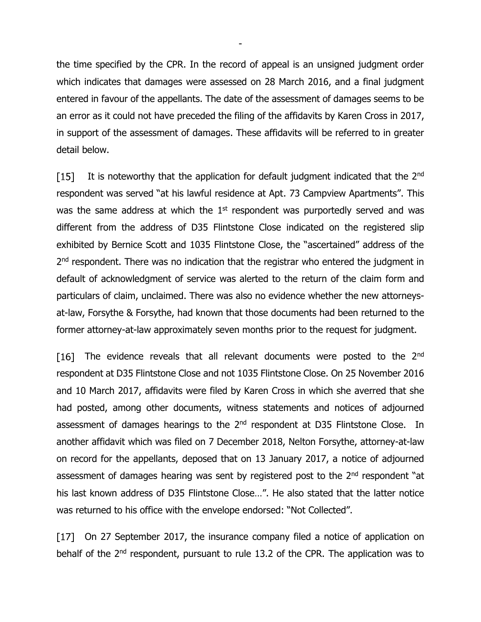the time specified by the CPR. In the record of appeal is an unsigned judgment order which indicates that damages were assessed on 28 March 2016, and a final judgment entered in favour of the appellants. The date of the assessment of damages seems to be an error as it could not have preceded the filing of the affidavits by Karen Cross in 2017, in support of the assessment of damages. These affidavits will be referred to in greater detail below.

-

 $[15]$ It is noteworthy that the application for default judgment indicated that the 2nd respondent was served "at his lawful residence at Apt. 73 Campview Apartments". This was the same address at which the 1<sup>st</sup> respondent was purportedly served and was different from the address of D35 Flintstone Close indicated on the registered slip exhibited by Bernice Scott and 1035 Flintstone Close, the "ascertained" address of the 2<sup>nd</sup> respondent. There was no indication that the registrar who entered the judgment in default of acknowledgment of service was alerted to the return of the claim form and particulars of claim, unclaimed. There was also no evidence whether the new attorneysat-law, Forsythe & Forsythe, had known that those documents had been returned to the former attorney-at-law approximately seven months prior to the request for judgment.

The evidence reveals that all relevant documents were posted to the 2<sup>nd</sup>  $\lceil 16 \rceil$ respondent at D35 Flintstone Close and not 1035 Flintstone Close. On 25 November 2016 and 10 March 2017, affidavits were filed by Karen Cross in which she averred that she had posted, among other documents, witness statements and notices of adjourned assessment of damages hearings to the 2<sup>nd</sup> respondent at D35 Flintstone Close. In another affidavit which was filed on 7 December 2018, Nelton Forsythe, attorney-at-law on record for the appellants, deposed that on 13 January 2017, a notice of adjourned assessment of damages hearing was sent by registered post to the 2<sup>nd</sup> respondent "at his last known address of D35 Flintstone Close...". He also stated that the latter notice was returned to his office with the envelope endorsed: "Not Collected".

[17] On 27 September 2017, the insurance company filed a notice of application on behalf of the 2<sup>nd</sup> respondent, pursuant to rule 13.2 of the CPR. The application was to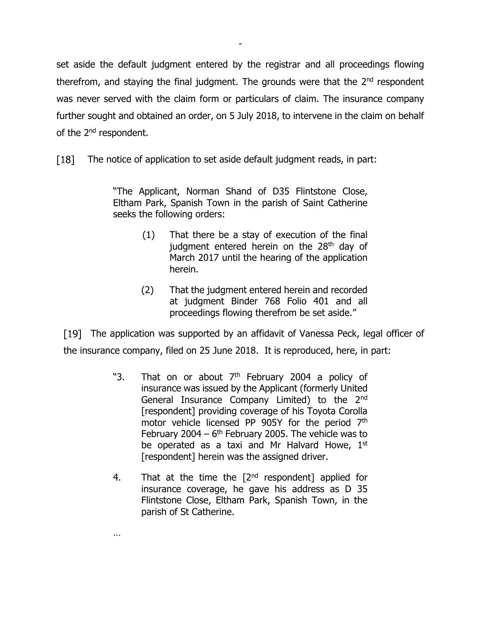set aside the default judgment entered by the registrar and all proceedings flowing therefrom, and staying the final judgment. The grounds were that the 2<sup>nd</sup> respondent was never served with the claim form or particulars of claim. The insurance company further sought and obtained an order, on 5 July 2018, to intervene in the claim on behalf of the 2<sup>nd</sup> respondent.

-

 $\lceil 18 \rceil$ The notice of application to set aside default judgment reads, in part:

> "The Applicant, Norman Shand of D35 Flintstone Close, Eltham Park, Spanish Town in the parish of Saint Catherine seeks the following orders:

- (1) That there be a stay of execution of the final judgment entered herein on the 28<sup>th</sup> day of March 2017 until the hearing of the application herein.
- (2) That the judgment entered herein and recorded at judgment Binder 768 Folio 401 and all proceedings flowing therefrom be set aside."

[19] The application was supported by an affidavit of Vanessa Peck, legal officer of the insurance company, filed on 25 June 2018. It is reproduced, here, in part:

- "3. That on or about 7<sup>th</sup> February 2004 a policy of insurance was issued by the Applicant (formerly United General Insurance Company Limited) to the 2<sup>nd</sup> [respondent] providing coverage of his Toyota Corolla motor vehicle licensed PP 905Y for the period 7<sup>th</sup> February 2004  $-6$ <sup>th</sup> February 2005. The vehicle was to be operated as a taxi and Mr Halvard Howe, 1st [respondent] herein was the assigned driver.
- 4. That at the time the  $[2^{nd}$  respondent] applied for insurance coverage, he gave his address as D 35 Flintstone Close, Eltham Park, Spanish Town, in the parish of St Catherine.

…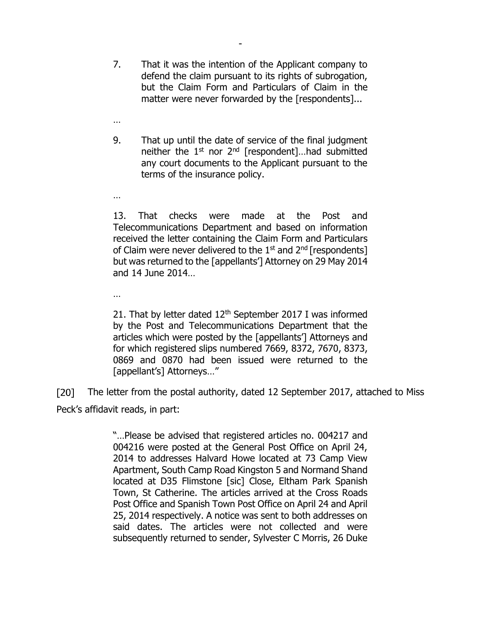7. That it was the intention of the Applicant company to defend the claim pursuant to its rights of subrogation, but the Claim Form and Particulars of Claim in the matter were never forwarded by the [respondents]...

-

9. That up until the date of service of the final judgment neither the 1st nor 2nd [respondent]…had submitted any court documents to the Applicant pursuant to the terms of the insurance policy.

…

…

…

13. That checks were made at the Post and Telecommunications Department and based on information received the letter containing the Claim Form and Particulars of Claim were never delivered to the  $1<sup>st</sup>$  and  $2<sup>nd</sup>$  [respondents] but was returned to the [appellants'] Attorney on 29 May 2014 and 14 June 2014…

21. That by letter dated 12<sup>th</sup> September 2017 I was informed by the Post and Telecommunications Department that the articles which were posted by the [appellants'] Attorneys and for which registered slips numbered 7669, 8372, 7670, 8373, 0869 and 0870 had been issued were returned to the [appellant's] Attorneys…"

 $[20]$ The letter from the postal authority, dated 12 September 2017, attached to Miss Peck's affidavit reads, in part:

> "…Please be advised that registered articles no. 004217 and 004216 were posted at the General Post Office on April 24, 2014 to addresses Halvard Howe located at 73 Camp View Apartment, South Camp Road Kingston 5 and Normand Shand located at D35 Flimstone [sic] Close, Eltham Park Spanish Town, St Catherine. The articles arrived at the Cross Roads Post Office and Spanish Town Post Office on April 24 and April 25, 2014 respectively. A notice was sent to both addresses on said dates. The articles were not collected and were subsequently returned to sender, Sylvester C Morris, 26 Duke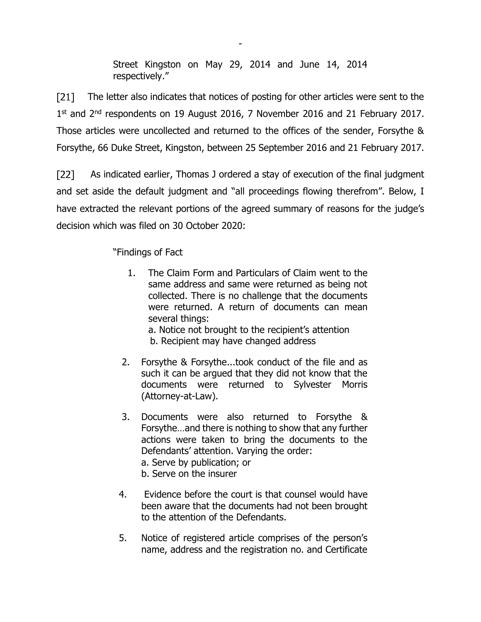Street Kingston on May 29, 2014 and June 14, 2014 respectively."

-

 $[21]$ The letter also indicates that notices of posting for other articles were sent to the 1<sup>st</sup> and 2<sup>nd</sup> respondents on 19 August 2016, 7 November 2016 and 21 February 2017. Those articles were uncollected and returned to the offices of the sender, Forsythe & Forsythe, 66 Duke Street, Kingston, between 25 September 2016 and 21 February 2017.

 $[22]$ As indicated earlier, Thomas J ordered a stay of execution of the final judgment and set aside the default judgment and "all proceedings flowing therefrom". Below, I have extracted the relevant portions of the agreed summary of reasons for the judge's decision which was filed on 30 October 2020:

"Findings of Fact

 1. The Claim Form and Particulars of Claim went to the same address and same were returned as being not collected. There is no challenge that the documents were returned. A return of documents can mean several things:

a. Notice not brought to the recipient's attention b. Recipient may have changed address

- 2. Forsythe & Forsythe...took conduct of the file and as such it can be argued that they did not know that the documents were returned to Sylvester Morris (Attorney-at-Law).
- 3. Documents were also returned to Forsythe & Forsythe…and there is nothing to show that any further actions were taken to bring the documents to the Defendants' attention. Varying the order: a. Serve by publication; or
	- b. Serve on the insurer
- 4. Evidence before the court is that counsel would have been aware that the documents had not been brought to the attention of the Defendants.
- 5. Notice of registered article comprises of the person's name, address and the registration no. and Certificate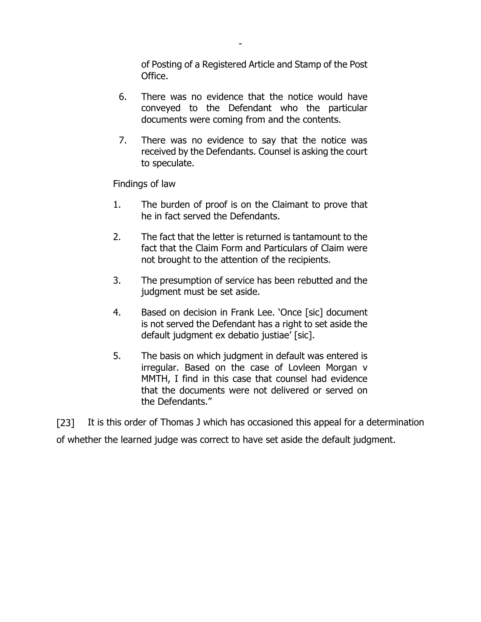of Posting of a Registered Article and Stamp of the Post Office.

 6. There was no evidence that the notice would have conveyed to the Defendant who the particular documents were coming from and the contents.

-

 7. There was no evidence to say that the notice was received by the Defendants. Counsel is asking the court to speculate.

Findings of law

- 1. The burden of proof is on the Claimant to prove that he in fact served the Defendants.
- 2. The fact that the letter is returned is tantamount to the fact that the Claim Form and Particulars of Claim were not brought to the attention of the recipients.
- 3. The presumption of service has been rebutted and the judgment must be set aside.
- 4. Based on decision in Frank Lee. 'Once [sic] document is not served the Defendant has a right to set aside the default judgment ex debatio justiae' [sic].
- 5. The basis on which judgment in default was entered is irregular. Based on the case of Lovleen Morgan v MMTH, I find in this case that counsel had evidence that the documents were not delivered or served on the Defendants."

 $\lceil 23 \rceil$ It is this order of Thomas J which has occasioned this appeal for a determination of whether the learned judge was correct to have set aside the default judgment.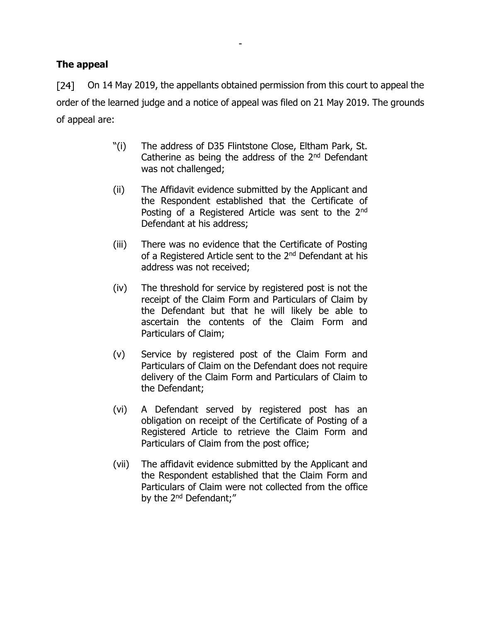# **The appeal**

 $\lceil 24 \rceil$ On 14 May 2019, the appellants obtained permission from this court to appeal the order of the learned judge and a notice of appeal was filed on 21 May 2019. The grounds of appeal are:

-

- "(i) The address of D35 Flintstone Close, Eltham Park, St. Catherine as being the address of the  $2<sup>nd</sup>$  Defendant was not challenged;
- (ii) The Affidavit evidence submitted by the Applicant and the Respondent established that the Certificate of Posting of a Registered Article was sent to the 2<sup>nd</sup> Defendant at his address;
- (iii) There was no evidence that the Certificate of Posting of a Registered Article sent to the 2<sup>nd</sup> Defendant at his address was not received;
- (iv) The threshold for service by registered post is not the receipt of the Claim Form and Particulars of Claim by the Defendant but that he will likely be able to ascertain the contents of the Claim Form and Particulars of Claim;
- (v) Service by registered post of the Claim Form and Particulars of Claim on the Defendant does not require delivery of the Claim Form and Particulars of Claim to the Defendant;
- (vi) A Defendant served by registered post has an obligation on receipt of the Certificate of Posting of a Registered Article to retrieve the Claim Form and Particulars of Claim from the post office;
- (vii) The affidavit evidence submitted by the Applicant and the Respondent established that the Claim Form and Particulars of Claim were not collected from the office by the 2<sup>nd</sup> Defendant;"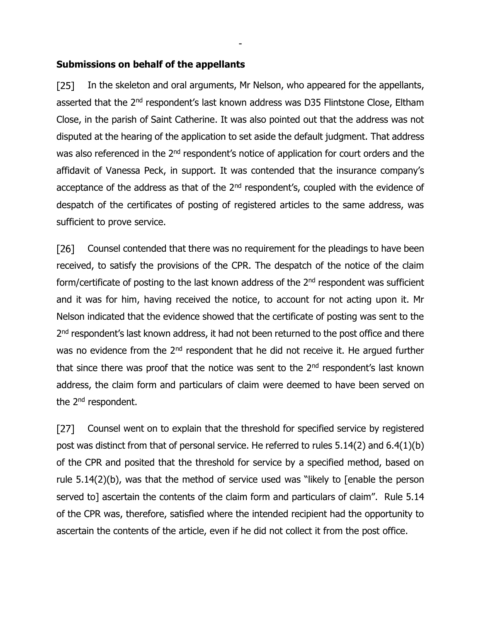#### **Submissions on behalf of the appellants**

 $[25]$ In the skeleton and oral arguments, Mr Nelson, who appeared for the appellants, asserted that the 2<sup>nd</sup> respondent's last known address was D35 Flintstone Close, Eltham Close, in the parish of Saint Catherine. It was also pointed out that the address was not disputed at the hearing of the application to set aside the default judgment. That address was also referenced in the 2<sup>nd</sup> respondent's notice of application for court orders and the affidavit of Vanessa Peck, in support. It was contended that the insurance company's acceptance of the address as that of the 2<sup>nd</sup> respondent's, coupled with the evidence of despatch of the certificates of posting of registered articles to the same address, was sufficient to prove service.

-

 $[26]$ Counsel contended that there was no requirement for the pleadings to have been received, to satisfy the provisions of the CPR. The despatch of the notice of the claim form/certificate of posting to the last known address of the 2<sup>nd</sup> respondent was sufficient and it was for him, having received the notice, to account for not acting upon it. Mr Nelson indicated that the evidence showed that the certificate of posting was sent to the 2<sup>nd</sup> respondent's last known address, it had not been returned to the post office and there was no evidence from the 2<sup>nd</sup> respondent that he did not receive it. He argued further that since there was proof that the notice was sent to the  $2<sup>nd</sup>$  respondent's last known address, the claim form and particulars of claim were deemed to have been served on the 2<sup>nd</sup> respondent.

Counsel went on to explain that the threshold for specified service by registered  $[27]$ post was distinct from that of personal service. He referred to rules 5.14(2) and 6.4(1)(b) of the CPR and posited that the threshold for service by a specified method, based on rule 5.14(2)(b), was that the method of service used was "likely to [enable the person served to] ascertain the contents of the claim form and particulars of claim". Rule 5.14 of the CPR was, therefore, satisfied where the intended recipient had the opportunity to ascertain the contents of the article, even if he did not collect it from the post office.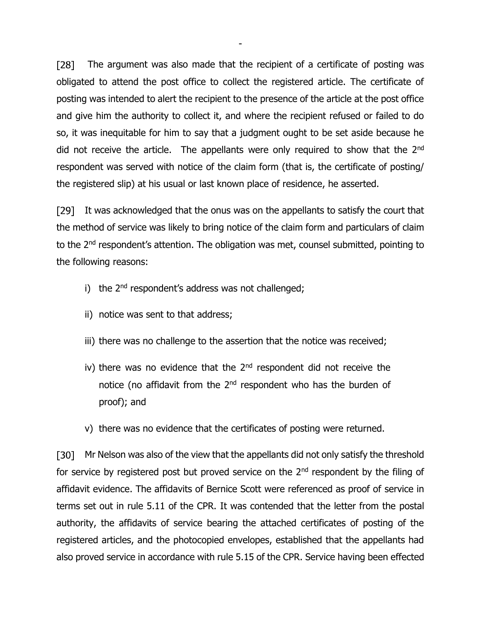$[28]$ The argument was also made that the recipient of a certificate of posting was obligated to attend the post office to collect the registered article. The certificate of posting was intended to alert the recipient to the presence of the article at the post office and give him the authority to collect it, and where the recipient refused or failed to do so, it was inequitable for him to say that a judgment ought to be set aside because he did not receive the article. The appellants were only required to show that the 2<sup>nd</sup> respondent was served with notice of the claim form (that is, the certificate of posting/ the registered slip) at his usual or last known place of residence, he asserted.

-

[29] It was acknowledged that the onus was on the appellants to satisfy the court that the method of service was likely to bring notice of the claim form and particulars of claim to the 2<sup>nd</sup> respondent's attention. The obligation was met, counsel submitted, pointing to the following reasons:

- i) the 2<sup>nd</sup> respondent's address was not challenged;
- ii) notice was sent to that address;
- iii) there was no challenge to the assertion that the notice was received;
- iv) there was no evidence that the  $2<sup>nd</sup>$  respondent did not receive the notice (no affidavit from the 2<sup>nd</sup> respondent who has the burden of proof); and
- v) there was no evidence that the certificates of posting were returned.

[30] Mr Nelson was also of the view that the appellants did not only satisfy the threshold for service by registered post but proved service on the  $2<sup>nd</sup>$  respondent by the filing of affidavit evidence. The affidavits of Bernice Scott were referenced as proof of service in terms set out in rule 5.11 of the CPR. It was contended that the letter from the postal authority, the affidavits of service bearing the attached certificates of posting of the registered articles, and the photocopied envelopes, established that the appellants had also proved service in accordance with rule 5.15 of the CPR. Service having been effected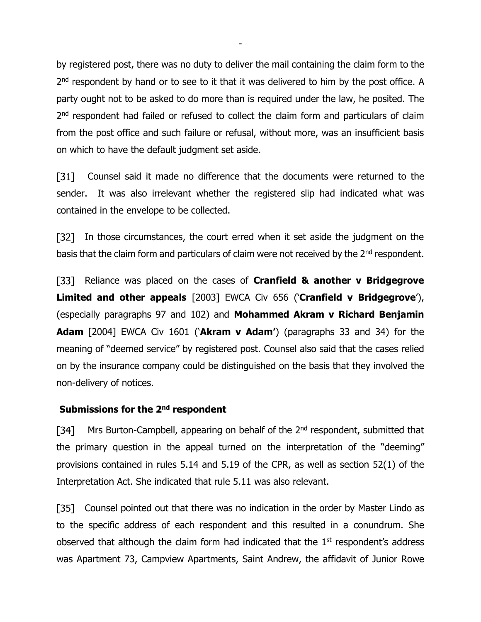by registered post, there was no duty to deliver the mail containing the claim form to the 2<sup>nd</sup> respondent by hand or to see to it that it was delivered to him by the post office. A party ought not to be asked to do more than is required under the law, he posited. The 2<sup>nd</sup> respondent had failed or refused to collect the claim form and particulars of claim from the post office and such failure or refusal, without more, was an insufficient basis on which to have the default judgment set aside.

-

 $[31]$ Counsel said it made no difference that the documents were returned to the sender. It was also irrelevant whether the registered slip had indicated what was contained in the envelope to be collected.

 $[32]$ In those circumstances, the court erred when it set aside the judgment on the basis that the claim form and particulars of claim were not received by the 2<sup>nd</sup> respondent.

Reliance was placed on the cases of **Cranfield & another v Bridgegrove Limited and other appeals** [2003] EWCA Civ 656 ('**Cranfield v Bridgegrove**'), (especially paragraphs 97 and 102) and **Mohammed Akram v Richard Benjamin Adam** [2004] EWCA Civ 1601 ('**Akram v Adam'**) (paragraphs 33 and 34) for the meaning of "deemed service" by registered post. Counsel also said that the cases relied on by the insurance company could be distinguished on the basis that they involved the non-delivery of notices.

#### **Submissions for the 2 nd respondent**

Mrs Burton-Campbell, appearing on behalf of the 2<sup>nd</sup> respondent, submitted that  $\lceil 34 \rceil$ the primary question in the appeal turned on the interpretation of the "deeming" provisions contained in rules 5.14 and 5.19 of the CPR, as well as section 52(1) of the Interpretation Act. She indicated that rule 5.11 was also relevant.

[35] Counsel pointed out that there was no indication in the order by Master Lindo as to the specific address of each respondent and this resulted in a conundrum. She observed that although the claim form had indicated that the  $1<sup>st</sup>$  respondent's address was Apartment 73, Campview Apartments, Saint Andrew, the affidavit of Junior Rowe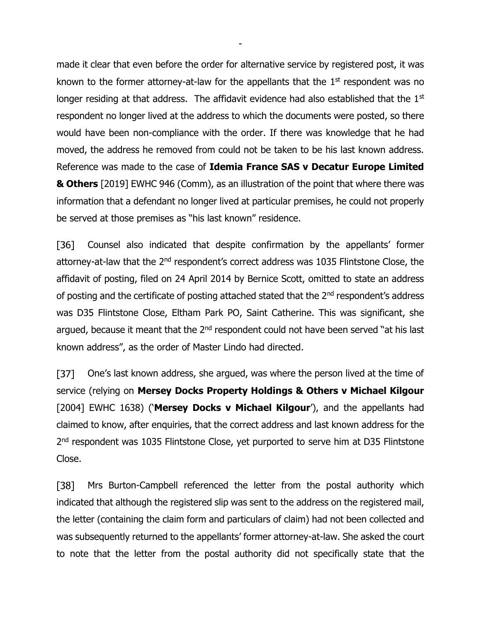made it clear that even before the order for alternative service by registered post, it was known to the former attorney-at-law for the appellants that the  $1<sup>st</sup>$  respondent was no longer residing at that address. The affidavit evidence had also established that the 1<sup>st</sup> respondent no longer lived at the address to which the documents were posted, so there would have been non-compliance with the order. If there was knowledge that he had moved, the address he removed from could not be taken to be his last known address. Reference was made to the case of **Idemia France SAS v Decatur Europe Limited & Others** [2019] EWHC 946 (Comm), as an illustration of the point that where there was information that a defendant no longer lived at particular premises, he could not properly be served at those premises as "his last known" residence.

-

Counsel also indicated that despite confirmation by the appellants' former  $[36]$ attorney-at-law that the 2<sup>nd</sup> respondent's correct address was 1035 Flintstone Close, the affidavit of posting, filed on 24 April 2014 by Bernice Scott, omitted to state an address of posting and the certificate of posting attached stated that the 2<sup>nd</sup> respondent's address was D35 Flintstone Close, Eltham Park PO, Saint Catherine. This was significant, she argued, because it meant that the 2<sup>nd</sup> respondent could not have been served "at his last known address", as the order of Master Lindo had directed.

 $[37]$ One's last known address, she argued, was where the person lived at the time of service (relying on **Mersey Docks Property Holdings & Others v Michael Kilgour** [2004] EWHC 1638) ('**Mersey Docks v Michael Kilgour**'), and the appellants had claimed to know, after enquiries, that the correct address and last known address for the 2<sup>nd</sup> respondent was 1035 Flintstone Close, yet purported to serve him at D35 Flintstone Close.

 $[38]$ Mrs Burton-Campbell referenced the letter from the postal authority which indicated that although the registered slip was sent to the address on the registered mail, the letter (containing the claim form and particulars of claim) had not been collected and was subsequently returned to the appellants' former attorney-at-law. She asked the court to note that the letter from the postal authority did not specifically state that the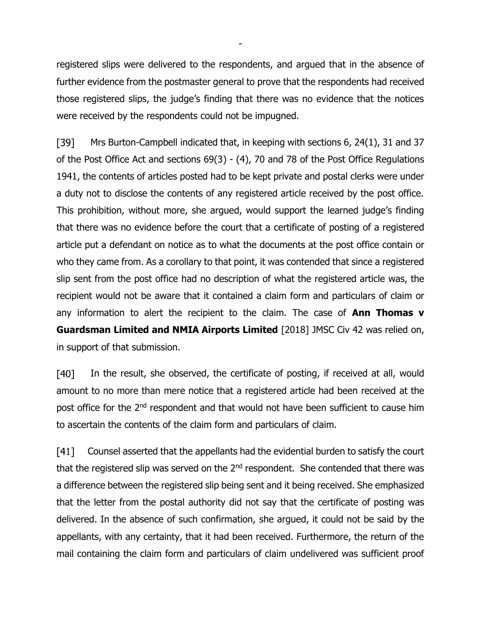registered slips were delivered to the respondents, and argued that in the absence of further evidence from the postmaster general to prove that the respondents had received those registered slips, the judge's finding that there was no evidence that the notices were received by the respondents could not be impugned.

-

 $[39]$ Mrs Burton-Campbell indicated that, in keeping with sections 6, 24(1), 31 and 37 of the Post Office Act and sections 69(3) - (4), 70 and 78 of the Post Office Regulations 1941, the contents of articles posted had to be kept private and postal clerks were under a duty not to disclose the contents of any registered article received by the post office. This prohibition, without more, she argued, would support the learned judge's finding that there was no evidence before the court that a certificate of posting of a registered article put a defendant on notice as to what the documents at the post office contain or who they came from. As a corollary to that point, it was contended that since a registered slip sent from the post office had no description of what the registered article was, the recipient would not be aware that it contained a claim form and particulars of claim or any information to alert the recipient to the claim. The case of **Ann Thomas v Guardsman Limited and NMIA Airports Limited** [2018] JMSC Civ 42 was relied on, in support of that submission.

 $[40]$ In the result, she observed, the certificate of posting, if received at all, would amount to no more than mere notice that a registered article had been received at the post office for the 2<sup>nd</sup> respondent and that would not have been sufficient to cause him to ascertain the contents of the claim form and particulars of claim.

 $[41]$ Counsel asserted that the appellants had the evidential burden to satisfy the court that the registered slip was served on the 2<sup>nd</sup> respondent. She contended that there was a difference between the registered slip being sent and it being received. She emphasized that the letter from the postal authority did not say that the certificate of posting was delivered. In the absence of such confirmation, she argued, it could not be said by the appellants, with any certainty, that it had been received. Furthermore, the return of the mail containing the claim form and particulars of claim undelivered was sufficient proof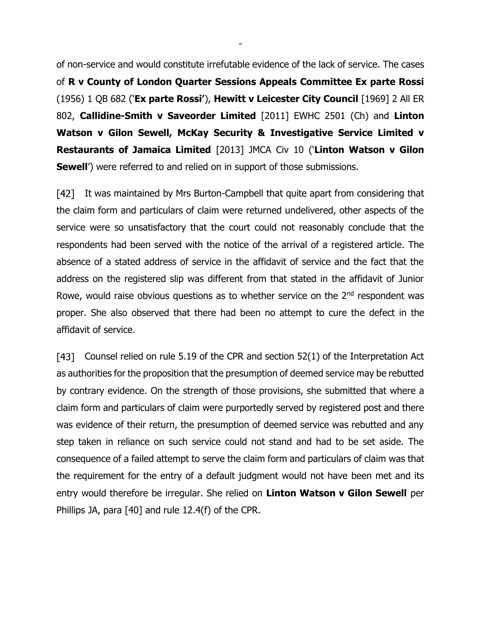of non-service and would constitute irrefutable evidence of the lack of service. The cases of **R v County of London Quarter Sessions Appeals Committee Ex parte Rossi** (1956) 1 QB 682 ('**Ex parte Rossi'**), **Hewitt v Leicester City Council** [1969] 2 All ER 802, **Callidine-Smith v Saveorder Limited** [2011] EWHC 2501 (Ch) and **Linton Watson v Gilon Sewell, McKay Security & Investigative Service Limited v Restaurants of Jamaica Limited** [2013] JMCA Civ 10 ('**Linton Watson v Gilon Sewell'**) were referred to and relied on in support of those submissions.

-

[42] It was maintained by Mrs Burton-Campbell that quite apart from considering that the claim form and particulars of claim were returned undelivered, other aspects of the service were so unsatisfactory that the court could not reasonably conclude that the respondents had been served with the notice of the arrival of a registered article. The absence of a stated address of service in the affidavit of service and the fact that the address on the registered slip was different from that stated in the affidavit of Junior Rowe, would raise obvious questions as to whether service on the  $2<sup>nd</sup>$  respondent was proper. She also observed that there had been no attempt to cure the defect in the affidavit of service.

[43] Counsel relied on rule 5.19 of the CPR and section 52(1) of the Interpretation Act as authorities for the proposition that the presumption of deemed service may be rebutted by contrary evidence. On the strength of those provisions, she submitted that where a claim form and particulars of claim were purportedly served by registered post and there was evidence of their return, the presumption of deemed service was rebutted and any step taken in reliance on such service could not stand and had to be set aside. The consequence of a failed attempt to serve the claim form and particulars of claim was that the requirement for the entry of a default judgment would not have been met and its entry would therefore be irregular. She relied on **Linton Watson v Gilon Sewell** per Phillips JA, para [40] and rule 12.4(f) of the CPR.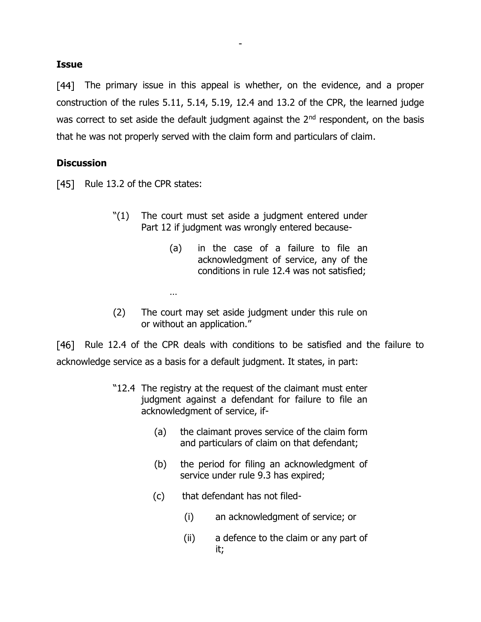#### **Issue**

[44] The primary issue in this appeal is whether, on the evidence, and a proper construction of the rules 5.11, 5.14, 5.19, 12.4 and 13.2 of the CPR, the learned judge was correct to set aside the default judgment against the 2<sup>nd</sup> respondent, on the basis that he was not properly served with the claim form and particulars of claim.

-

# **Discussion**

 $[45]$  Rule 13.2 of the CPR states:

…

- "(1) The court must set aside a judgment entered under Part 12 if judgment was wrongly entered because-
	- (a) in the case of a failure to file an acknowledgment of service, any of the conditions in rule 12.4 was not satisfied;
- (2) The court may set aside judgment under this rule on or without an application."

[46] Rule 12.4 of the CPR deals with conditions to be satisfied and the failure to acknowledge service as a basis for a default judgment. It states, in part:

- "12.4 The registry at the request of the claimant must enter judgment against a defendant for failure to file an acknowledgment of service, if-
	- (a) the claimant proves service of the claim form and particulars of claim on that defendant;
	- (b) the period for filing an acknowledgment of service under rule 9.3 has expired;
	- (c) that defendant has not filed-
		- (i) an acknowledgment of service; or
		- (ii) a defence to the claim or any part of it;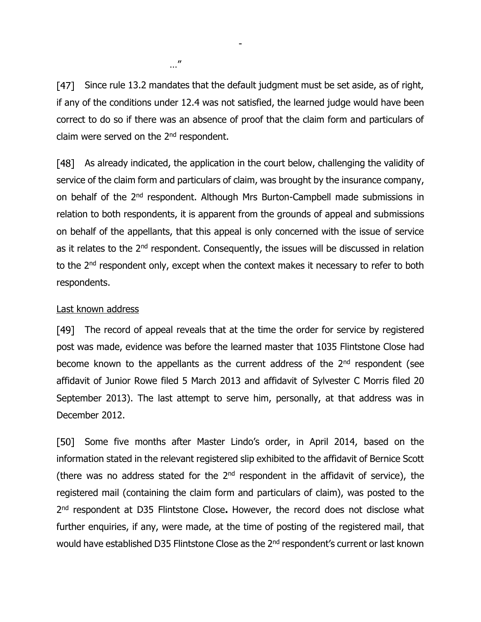[47] Since rule 13.2 mandates that the default judgment must be set aside, as of right, if any of the conditions under 12.4 was not satisfied, the learned judge would have been correct to do so if there was an absence of proof that the claim form and particulars of claim were served on the 2<sup>nd</sup> respondent.

-

[48] As already indicated, the application in the court below, challenging the validity of service of the claim form and particulars of claim, was brought by the insurance company, on behalf of the 2<sup>nd</sup> respondent. Although Mrs Burton-Campbell made submissions in relation to both respondents, it is apparent from the grounds of appeal and submissions on behalf of the appellants, that this appeal is only concerned with the issue of service as it relates to the 2<sup>nd</sup> respondent. Consequently, the issues will be discussed in relation to the 2<sup>nd</sup> respondent only, except when the context makes it necessary to refer to both respondents.

#### Last known address

[49] The record of appeal reveals that at the time the order for service by registered post was made, evidence was before the learned master that 1035 Flintstone Close had become known to the appellants as the current address of the 2<sup>nd</sup> respondent (see affidavit of Junior Rowe filed 5 March 2013 and affidavit of Sylvester C Morris filed 20 September 2013). The last attempt to serve him, personally, at that address was in December 2012.

[50] Some five months after Master Lindo's order, in April 2014, based on the information stated in the relevant registered slip exhibited to the affidavit of Bernice Scott (there was no address stated for the  $2<sup>nd</sup>$  respondent in the affidavit of service), the registered mail (containing the claim form and particulars of claim), was posted to the 2 nd respondent at D35 Flintstone Close**.** However, the record does not disclose what further enquiries, if any, were made, at the time of posting of the registered mail, that would have established D35 Flintstone Close as the 2<sup>nd</sup> respondent's current or last known

…"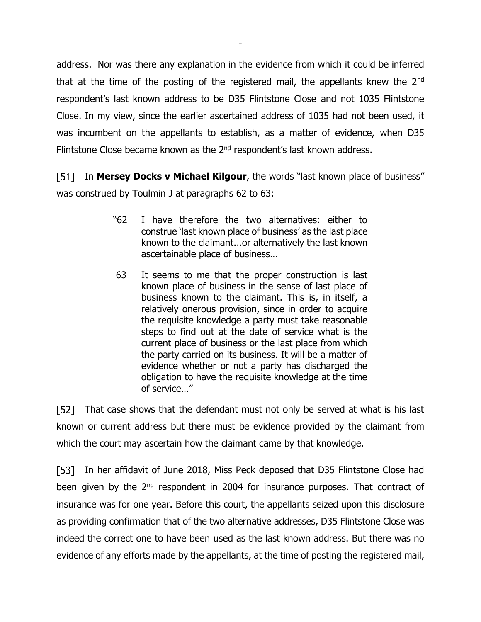address. Nor was there any explanation in the evidence from which it could be inferred that at the time of the posting of the registered mail, the appellants knew the 2<sup>nd</sup> respondent's last known address to be D35 Flintstone Close and not 1035 Flintstone Close. In my view, since the earlier ascertained address of 1035 had not been used, it was incumbent on the appellants to establish, as a matter of evidence, when D35 Flintstone Close became known as the  $2<sup>nd</sup>$  respondent's last known address.

-

F511 In **Mersey Docks v Michael Kilgour**, the words "last known place of business" was construed by Toulmin J at paragraphs 62 to 63:

- "62 I have therefore the two alternatives: either to construe 'last known place of business' as the last place known to the claimant...or alternatively the last known ascertainable place of business…
- 63 It seems to me that the proper construction is last known place of business in the sense of last place of business known to the claimant. This is, in itself, a relatively onerous provision, since in order to acquire the requisite knowledge a party must take reasonable steps to find out at the date of service what is the current place of business or the last place from which the party carried on its business. It will be a matter of evidence whether or not a party has discharged the obligation to have the requisite knowledge at the time of service…"

[52] That case shows that the defendant must not only be served at what is his last known or current address but there must be evidence provided by the claimant from which the court may ascertain how the claimant came by that knowledge.

[53] In her affidavit of June 2018, Miss Peck deposed that D35 Flintstone Close had been given by the 2<sup>nd</sup> respondent in 2004 for insurance purposes. That contract of insurance was for one year. Before this court, the appellants seized upon this disclosure as providing confirmation that of the two alternative addresses, D35 Flintstone Close was indeed the correct one to have been used as the last known address. But there was no evidence of any efforts made by the appellants, at the time of posting the registered mail,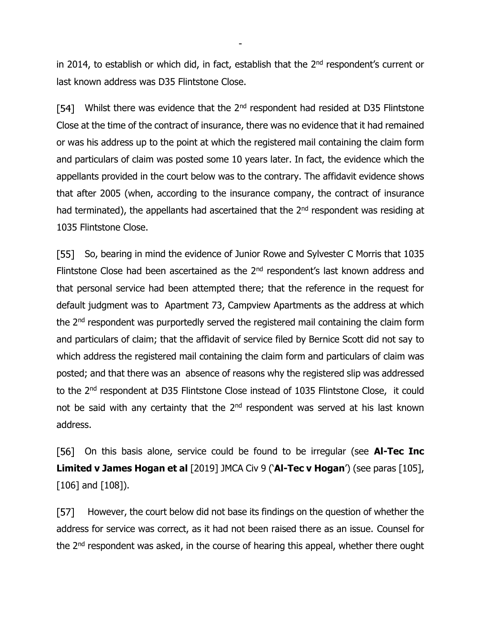in 2014, to establish or which did, in fact, establish that the  $2<sup>nd</sup>$  respondent's current or last known address was D35 Flintstone Close.

-

Whilst there was evidence that the 2<sup>nd</sup> respondent had resided at D35 Flintstone [54] Close at the time of the contract of insurance, there was no evidence that it had remained or was his address up to the point at which the registered mail containing the claim form and particulars of claim was posted some 10 years later. In fact, the evidence which the appellants provided in the court below was to the contrary. The affidavit evidence shows that after 2005 (when, according to the insurance company, the contract of insurance had terminated), the appellants had ascertained that the 2<sup>nd</sup> respondent was residing at 1035 Flintstone Close.

[55] So, bearing in mind the evidence of Junior Rowe and Sylvester C Morris that 1035 Flintstone Close had been ascertained as the 2<sup>nd</sup> respondent's last known address and that personal service had been attempted there; that the reference in the request for default judgment was to Apartment 73, Campview Apartments as the address at which the 2<sup>nd</sup> respondent was purportedly served the registered mail containing the claim form and particulars of claim; that the affidavit of service filed by Bernice Scott did not say to which address the registered mail containing the claim form and particulars of claim was posted; and that there was an absence of reasons why the registered slip was addressed to the 2<sup>nd</sup> respondent at D35 Flintstone Close instead of 1035 Flintstone Close, it could not be said with any certainty that the  $2<sup>nd</sup>$  respondent was served at his last known address.

[56] On this basis alone, service could be found to be irregular (see **Al-Tec Inc Limited v James Hogan et al** [2019] JMCA Civ 9 ('**Al-Tec v Hogan**') (see paras [105], [106] and [108]).

 $[57]$ However, the court below did not base its findings on the question of whether the address for service was correct, as it had not been raised there as an issue. Counsel for the 2<sup>nd</sup> respondent was asked, in the course of hearing this appeal, whether there ought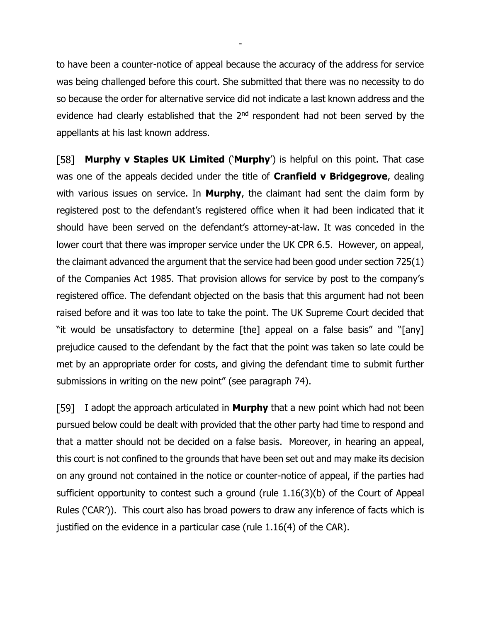to have been a counter-notice of appeal because the accuracy of the address for service was being challenged before this court. She submitted that there was no necessity to do so because the order for alternative service did not indicate a last known address and the evidence had clearly established that the 2<sup>nd</sup> respondent had not been served by the appellants at his last known address.

-

[58] **Murphy v Staples UK Limited** ('**Murphy**') is helpful on this point. That case was one of the appeals decided under the title of **Cranfield v Bridgegrove**, dealing with various issues on service. In **Murphy**, the claimant had sent the claim form by registered post to the defendant's registered office when it had been indicated that it should have been served on the defendant's attorney-at-law. It was conceded in the lower court that there was improper service under the UK CPR 6.5. However, on appeal, the claimant advanced the argument that the service had been good under section 725(1) of the Companies Act 1985. That provision allows for service by post to the company's registered office. The defendant objected on the basis that this argument had not been raised before and it was too late to take the point. The UK Supreme Court decided that "it would be unsatisfactory to determine [the] appeal on a false basis" and "[any] prejudice caused to the defendant by the fact that the point was taken so late could be met by an appropriate order for costs, and giving the defendant time to submit further submissions in writing on the new point" (see paragraph 74).

I adopt the approach articulated in **Murphy** that a new point which had not been pursued below could be dealt with provided that the other party had time to respond and that a matter should not be decided on a false basis.Moreover, in hearing an appeal, this court is not confined to the grounds that have been set out and may make its decision on any ground not contained in the notice or counter-notice of appeal, if the parties had sufficient opportunity to contest such a ground (rule 1.16(3)(b) of the Court of Appeal Rules ('CAR')). This court also has broad powers to draw any inference of facts which is justified on the evidence in a particular case (rule 1.16(4) of the CAR).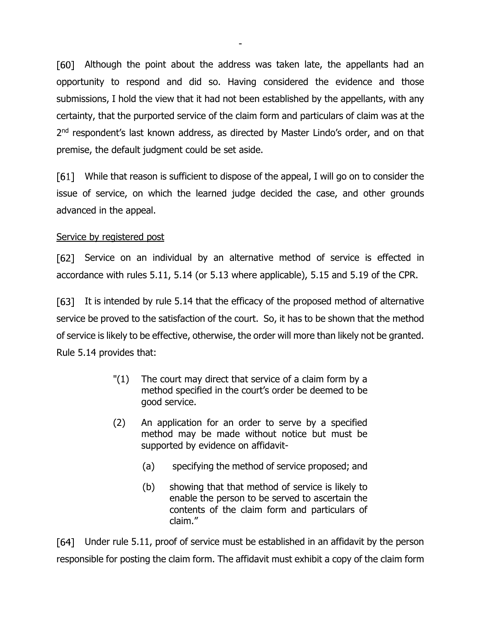[60] Although the point about the address was taken late, the appellants had an opportunity to respond and did so. Having considered the evidence and those submissions, I hold the view that it had not been established by the appellants, with any certainty, that the purported service of the claim form and particulars of claim was at the 2<sup>nd</sup> respondent's last known address, as directed by Master Lindo's order, and on that premise, the default judgment could be set aside.

-

[61] While that reason is sufficient to dispose of the appeal, I will go on to consider the issue of service, on which the learned judge decided the case, and other grounds advanced in the appeal.

# Service by registered post

[62] Service on an individual by an alternative method of service is effected in accordance with rules 5.11, 5.14 (or 5.13 where applicable), 5.15 and 5.19 of the CPR.

[63] It is intended by rule 5.14 that the efficacy of the proposed method of alternative service be proved to the satisfaction of the court. So, it has to be shown that the method of service is likely to be effective, otherwise, the order will more than likely not be granted. Rule 5.14 provides that:

- "(1) The court may direct that service of a claim form by a method specified in the court's order be deemed to be good service.
- (2) An application for an order to serve by a specified method may be made without notice but must be supported by evidence on affidavit-
	- (a) specifying the method of service proposed; and
	- (b) showing that that method of service is likely to enable the person to be served to ascertain the contents of the claim form and particulars of claim."

Under rule 5.11, proof of service must be established in an affidavit by the person responsible for posting the claim form. The affidavit must exhibit a copy of the claim form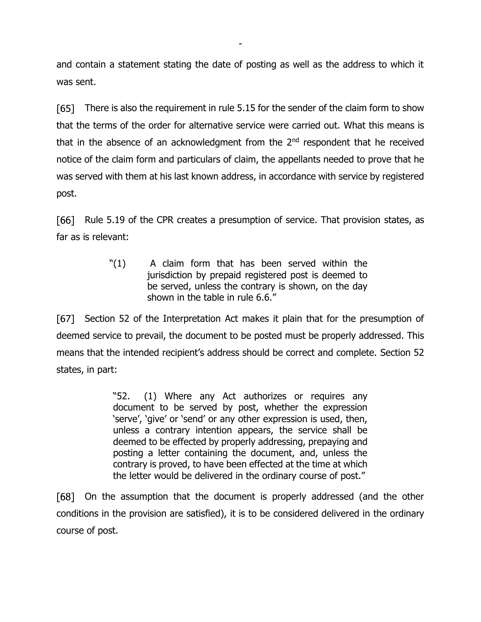and contain a statement stating the date of posting as well as the address to which it was sent.

-

There is also the requirement in rule 5.15 for the sender of the claim form to show F651 that the terms of the order for alternative service were carried out. What this means is that in the absence of an acknowledgment from the  $2<sup>nd</sup>$  respondent that he received notice of the claim form and particulars of claim, the appellants needed to prove that he was served with them at his last known address, in accordance with service by registered post.

[66] Rule 5.19 of the CPR creates a presumption of service. That provision states, as far as is relevant:

> "(1) A claim form that has been served within the jurisdiction by prepaid registered post is deemed to be served, unless the contrary is shown, on the day shown in the table in rule 6.6."

[67] Section 52 of the Interpretation Act makes it plain that for the presumption of deemed service to prevail, the document to be posted must be properly addressed. This means that the intended recipient's address should be correct and complete. Section 52 states, in part:

> "52. (1) Where any Act authorizes or requires any document to be served by post, whether the expression 'serve', 'give' or 'send' or any other expression is used, then, unless a contrary intention appears, the service shall be deemed to be effected by properly addressing, prepaying and posting a letter containing the document, and, unless the contrary is proved, to have been effected at the time at which the letter would be delivered in the ordinary course of post."

[68] On the assumption that the document is properly addressed (and the other conditions in the provision are satisfied), it is to be considered delivered in the ordinary course of post.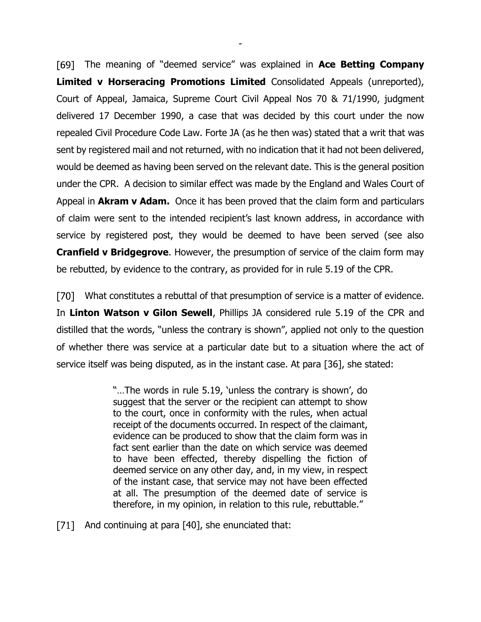The meaning of "deemed service" was explained in **Ace Betting Company Limited v Horseracing Promotions Limited** Consolidated Appeals (unreported), Court of Appeal, Jamaica, Supreme Court Civil Appeal Nos 70 & 71/1990, judgment delivered 17 December 1990, a case that was decided by this court under the now repealed Civil Procedure Code Law. Forte JA (as he then was) stated that a writ that was sent by registered mail and not returned, with no indication that it had not been delivered, would be deemed as having been served on the relevant date. This is the general position under the CPR. A decision to similar effect was made by the England and Wales Court of Appeal in **Akram v Adam.** Once it has been proved that the claim form and particulars of claim were sent to the intended recipient's last known address, in accordance with service by registered post, they would be deemed to have been served (see also **Cranfield v Bridgegrove**. However, the presumption of service of the claim form may be rebutted, by evidence to the contrary, as provided for in rule 5.19 of the CPR.

-

[70] What constitutes a rebuttal of that presumption of service is a matter of evidence. In **Linton Watson v Gilon Sewell**, Phillips JA considered rule 5.19 of the CPR and distilled that the words, "unless the contrary is shown", applied not only to the question of whether there was service at a particular date but to a situation where the act of service itself was being disputed, as in the instant case. At para [36], she stated:

> "…The words in rule 5.19, 'unless the contrary is shown', do suggest that the server or the recipient can attempt to show to the court, once in conformity with the rules, when actual receipt of the documents occurred. In respect of the claimant, evidence can be produced to show that the claim form was in fact sent earlier than the date on which service was deemed to have been effected, thereby dispelling the fiction of deemed service on any other day, and, in my view, in respect of the instant case, that service may not have been effected at all. The presumption of the deemed date of service is therefore, in my opinion, in relation to this rule, rebuttable."

[71] And continuing at para [40], she enunciated that: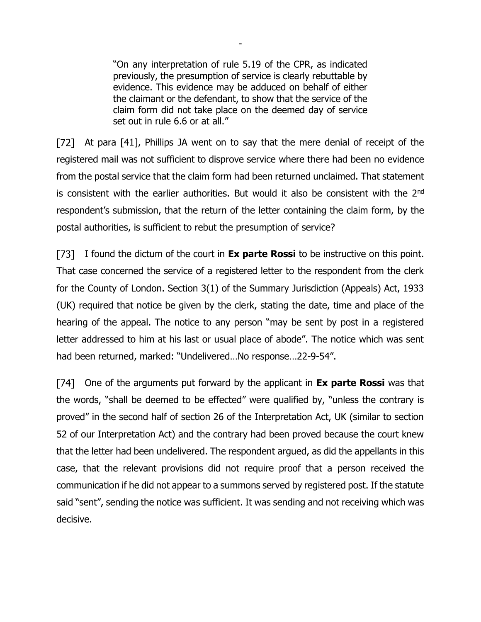"On any interpretation of rule 5.19 of the CPR, as indicated previously, the presumption of service is clearly rebuttable by evidence. This evidence may be adduced on behalf of either the claimant or the defendant, to show that the service of the claim form did not take place on the deemed day of service set out in rule 6.6 or at all."

-

[72] At para [41], Phillips JA went on to say that the mere denial of receipt of the registered mail was not sufficient to disprove service where there had been no evidence from the postal service that the claim form had been returned unclaimed. That statement is consistent with the earlier authorities. But would it also be consistent with the 2<sup>nd</sup> respondent's submission, that the return of the letter containing the claim form, by the postal authorities, is sufficient to rebut the presumption of service?

[73] I found the dictum of the court in **Ex parte Rossi** to be instructive on this point. That case concerned the service of a registered letter to the respondent from the clerk for the County of London. Section 3(1) of the Summary Jurisdiction (Appeals) Act, 1933 (UK) required that notice be given by the clerk, stating the date, time and place of the hearing of the appeal. The notice to any person "may be sent by post in a registered letter addressed to him at his last or usual place of abode". The notice which was sent had been returned, marked: "Undelivered…No response…22-9-54".

One of the arguments put forward by the applicant in **Ex parte Rossi** was that the words, "shall be deemed to be effected" were qualified by, "unless the contrary is proved" in the second half of section 26 of the Interpretation Act, UK (similar to section 52 of our Interpretation Act) and the contrary had been proved because the court knew that the letter had been undelivered. The respondent argued, as did the appellants in this case, that the relevant provisions did not require proof that a person received the communication if he did not appear to a summons served by registered post. If the statute said "sent", sending the notice was sufficient. It was sending and not receiving which was decisive.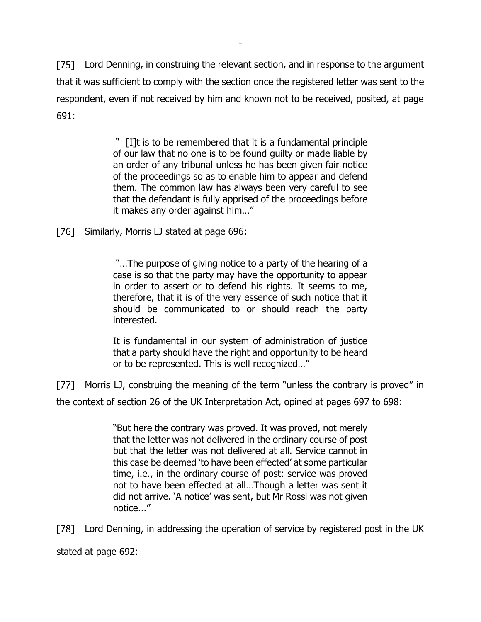[75] Lord Denning, in construing the relevant section, and in response to the argument that it was sufficient to comply with the section once the registered letter was sent to the respondent, even if not received by him and known not to be received, posited, at page 691:

-

" [I]t is to be remembered that it is a fundamental principle of our law that no one is to be found guilty or made liable by an order of any tribunal unless he has been given fair notice of the proceedings so as to enable him to appear and defend them. The common law has always been very careful to see that the defendant is fully apprised of the proceedings before it makes any order against him…"

[76] Similarly, Morris LJ stated at page 696:

"…The purpose of giving notice to a party of the hearing of a case is so that the party may have the opportunity to appear in order to assert or to defend his rights. It seems to me, therefore, that it is of the very essence of such notice that it should be communicated to or should reach the party interested.

It is fundamental in our system of administration of justice that a party should have the right and opportunity to be heard or to be represented. This is well recognized…"

Morris LJ, construing the meaning of the term "unless the contrary is proved" in [77] the context of section 26 of the UK Interpretation Act, opined at pages 697 to 698:

> "But here the contrary was proved. It was proved, not merely that the letter was not delivered in the ordinary course of post but that the letter was not delivered at all. Service cannot in this case be deemed 'to have been effected' at some particular time, i.e., in the ordinary course of post: service was proved not to have been effected at all…Though a letter was sent it did not arrive. 'A notice' was sent, but Mr Rossi was not given notice..."

Lord Denning, in addressing the operation of service by registered post in the UK [78]

stated at page 692: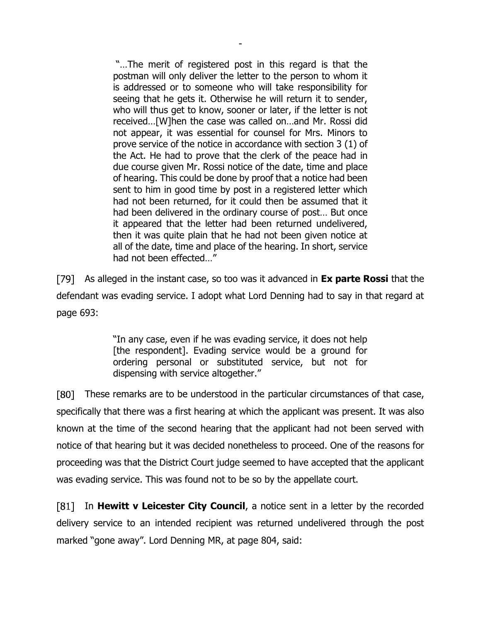"…The merit of registered post in this regard is that the postman will only deliver the letter to the person to whom it is addressed or to someone who will take responsibility for seeing that he gets it. Otherwise he will return it to sender, who will thus get to know, sooner or later, if the letter is not received…[W]hen the case was called on…and Mr. Rossi did not appear, it was essential for counsel for Mrs. Minors to prove service of the notice in accordance with section 3 (1) of the Act. He had to prove that the clerk of the peace had in due course given Mr. Rossi notice of the date, time and place of hearing. This could be done by proof that a notice had been sent to him in good time by post in a registered letter which had not been returned, for it could then be assumed that it had been delivered in the ordinary course of post… But once it appeared that the letter had been returned undelivered, then it was quite plain that he had not been given notice at all of the date, time and place of the hearing. In short, service had not been effected…"

-

As alleged in the instant case, so too was it advanced in **Ex parte Rossi** that the defendant was evading service. I adopt what Lord Denning had to say in that regard at page 693:

> "In any case, even if he was evading service, it does not help [the respondent]. Evading service would be a ground for ordering personal or substituted service, but not for dispensing with service altogether."

F801 I These remarks are to be understood in the particular circumstances of that case, specifically that there was a first hearing at which the applicant was present. It was also known at the time of the second hearing that the applicant had not been served with notice of that hearing but it was decided nonetheless to proceed. One of the reasons for proceeding was that the District Court judge seemed to have accepted that the applicant was evading service. This was found not to be so by the appellate court.

F811 In **Hewitt v Leicester City Council**, a notice sent in a letter by the recorded delivery service to an intended recipient was returned undelivered through the post marked "gone away". Lord Denning MR, at page 804, said: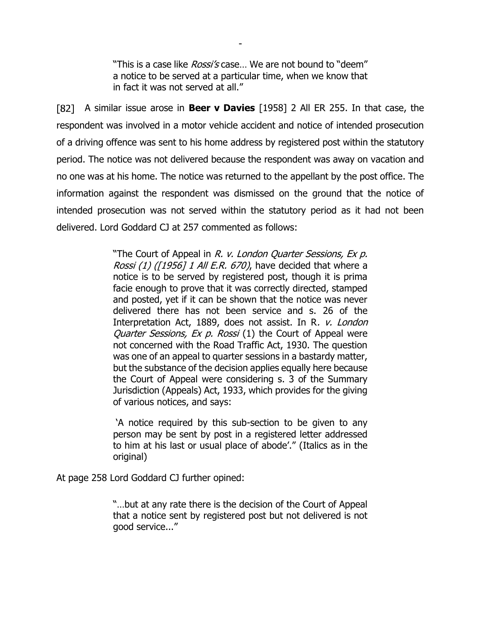"This is a case like *Rossi's* case... We are not bound to "deem" a notice to be served at a particular time, when we know that in fact it was not served at all."

-

A similar issue arose in **Beer v Davies** [1958] 2 All ER 255. In that case, the respondent was involved in a motor vehicle accident and notice of intended prosecution of a driving offence was sent to his home address by registered post within the statutory period. The notice was not delivered because the respondent was away on vacation and no one was at his home. The notice was returned to the appellant by the post office. The information against the respondent was dismissed on the ground that the notice of intended prosecution was not served within the statutory period as it had not been delivered. Lord Goddard CJ at 257 commented as follows:

> "The Court of Appeal in R. v. London Quarter Sessions, Ex p. Rossi (1) ( $[1956]$  1 All E.R. 670), have decided that where a notice is to be served by registered post, though it is prima facie enough to prove that it was correctly directed, stamped and posted, yet if it can be shown that the notice was never delivered there has not been service and s. 26 of the Interpretation Act, 1889, does not assist. In R. v. London Quarter Sessions, Ex p. Rossi (1) the Court of Appeal were not concerned with the Road Traffic Act, 1930. The question was one of an appeal to quarter sessions in a bastardy matter, but the substance of the decision applies equally here because the Court of Appeal were considering s. 3 of the Summary Jurisdiction (Appeals) Act, 1933, which provides for the giving of various notices, and says:

> 'A notice required by this sub-section to be given to any person may be sent by post in a registered letter addressed to him at his last or usual place of abode'." (Italics as in the original)

At page 258 Lord Goddard CJ further opined:

"…but at any rate there is the decision of the Court of Appeal that a notice sent by registered post but not delivered is not good service..."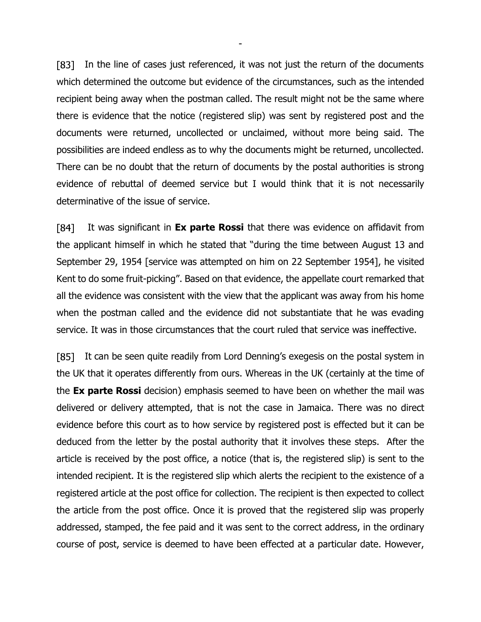[83] In the line of cases just referenced, it was not just the return of the documents which determined the outcome but evidence of the circumstances, such as the intended recipient being away when the postman called. The result might not be the same where there is evidence that the notice (registered slip) was sent by registered post and the documents were returned, uncollected or unclaimed, without more being said. The possibilities are indeed endless as to why the documents might be returned, uncollected. There can be no doubt that the return of documents by the postal authorities is strong evidence of rebuttal of deemed service but I would think that it is not necessarily determinative of the issue of service.

-

 $[84]$ It was significant in **Ex parte Rossi** that there was evidence on affidavit from the applicant himself in which he stated that "during the time between August 13 and September 29, 1954 [service was attempted on him on 22 September 1954], he visited Kent to do some fruit-picking". Based on that evidence, the appellate court remarked that all the evidence was consistent with the view that the applicant was away from his home when the postman called and the evidence did not substantiate that he was evading service. It was in those circumstances that the court ruled that service was ineffective.

[85] It can be seen quite readily from Lord Denning's exegesis on the postal system in the UK that it operates differently from ours. Whereas in the UK (certainly at the time of the **Ex parte Rossi** decision) emphasis seemed to have been on whether the mail was delivered or delivery attempted, that is not the case in Jamaica. There was no direct evidence before this court as to how service by registered post is effected but it can be deduced from the letter by the postal authority that it involves these steps. After the article is received by the post office, a notice (that is, the registered slip) is sent to the intended recipient. It is the registered slip which alerts the recipient to the existence of a registered article at the post office for collection. The recipient is then expected to collect the article from the post office. Once it is proved that the registered slip was properly addressed, stamped, the fee paid and it was sent to the correct address, in the ordinary course of post, service is deemed to have been effected at a particular date. However,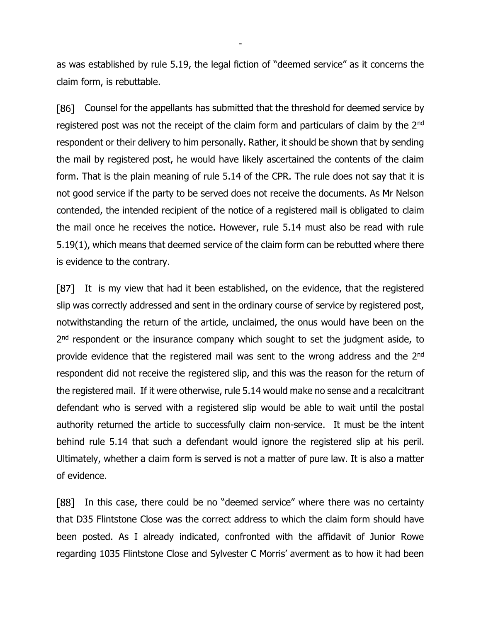as was established by rule 5.19, the legal fiction of "deemed service" as it concerns the claim form, is rebuttable.

-

Counsel for the appellants has submitted that the threshold for deemed service by F861 I registered post was not the receipt of the claim form and particulars of claim by the 2<sup>nd</sup> respondent or their delivery to him personally. Rather, it should be shown that by sending the mail by registered post, he would have likely ascertained the contents of the claim form. That is the plain meaning of rule 5.14 of the CPR. The rule does not say that it is not good service if the party to be served does not receive the documents. As Mr Nelson contended, the intended recipient of the notice of a registered mail is obligated to claim the mail once he receives the notice. However, rule 5.14 must also be read with rule 5.19(1), which means that deemed service of the claim form can be rebutted where there is evidence to the contrary.

[87] It is my view that had it been established, on the evidence, that the registered slip was correctly addressed and sent in the ordinary course of service by registered post, notwithstanding the return of the article, unclaimed, the onus would have been on the 2<sup>nd</sup> respondent or the insurance company which sought to set the judgment aside, to provide evidence that the registered mail was sent to the wrong address and the 2nd respondent did not receive the registered slip, and this was the reason for the return of the registered mail. If it were otherwise, rule 5.14 would make no sense and a recalcitrant defendant who is served with a registered slip would be able to wait until the postal authority returned the article to successfully claim non-service. It must be the intent behind rule 5.14 that such a defendant would ignore the registered slip at his peril. Ultimately, whether a claim form is served is not a matter of pure law. It is also a matter of evidence.

In this case, there could be no "deemed service" where there was no certainty [88] that D35 Flintstone Close was the correct address to which the claim form should have been posted. As I already indicated, confronted with the affidavit of Junior Rowe regarding 1035 Flintstone Close and Sylvester C Morris' averment as to how it had been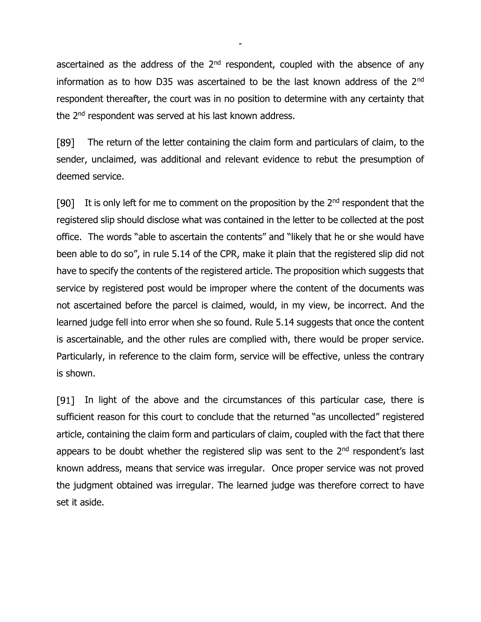ascertained as the address of the  $2<sup>nd</sup>$  respondent, coupled with the absence of any information as to how D35 was ascertained to be the last known address of the 2<sup>nd</sup> respondent thereafter, the court was in no position to determine with any certainty that the 2<sup>nd</sup> respondent was served at his last known address.

-

[89] The return of the letter containing the claim form and particulars of claim, to the sender, unclaimed, was additional and relevant evidence to rebut the presumption of deemed service.

[90] It is only left for me to comment on the proposition by the  $2<sup>nd</sup>$  respondent that the registered slip should disclose what was contained in the letter to be collected at the post office. The words "able to ascertain the contents" and "likely that he or she would have been able to do so", in rule 5.14 of the CPR, make it plain that the registered slip did not have to specify the contents of the registered article. The proposition which suggests that service by registered post would be improper where the content of the documents was not ascertained before the parcel is claimed, would, in my view, be incorrect. And the learned judge fell into error when she so found. Rule 5.14 suggests that once the content is ascertainable, and the other rules are complied with, there would be proper service. Particularly, in reference to the claim form, service will be effective, unless the contrary is shown.

[91] In light of the above and the circumstances of this particular case, there is sufficient reason for this court to conclude that the returned "as uncollected" registered article, containing the claim form and particulars of claim, coupled with the fact that there appears to be doubt whether the registered slip was sent to the  $2<sup>nd</sup>$  respondent's last known address, means that service was irregular. Once proper service was not proved the judgment obtained was irregular. The learned judge was therefore correct to have set it aside.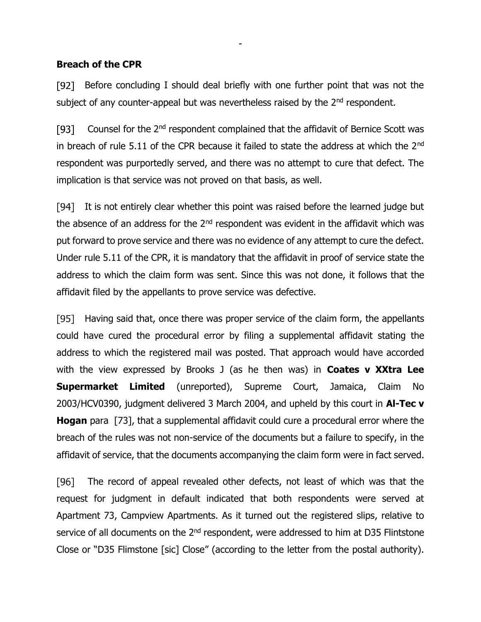#### **Breach of the CPR**

 $[92]$ Before concluding I should deal briefly with one further point that was not the subject of any counter-appeal but was nevertheless raised by the 2<sup>nd</sup> respondent.

-

Counsel for the 2nd respondent complained that the affidavit of Bernice Scott was  $[93]$ in breach of rule 5.11 of the CPR because it failed to state the address at which the  $2^{nd}$ respondent was purportedly served, and there was no attempt to cure that defect. The implication is that service was not proved on that basis, as well.

[94] It is not entirely clear whether this point was raised before the learned judge but the absence of an address for the  $2^{nd}$  respondent was evident in the affidavit which was put forward to prove service and there was no evidence of any attempt to cure the defect. Under rule 5.11 of the CPR, it is mandatory that the affidavit in proof of service state the address to which the claim form was sent. Since this was not done, it follows that the affidavit filed by the appellants to prove service was defective.

[95] Having said that, once there was proper service of the claim form, the appellants could have cured the procedural error by filing a supplemental affidavit stating the address to which the registered mail was posted. That approach would have accorded with the view expressed by Brooks J (as he then was) in **Coates v XXtra Lee Supermarket Limited** (unreported), Supreme Court, Jamaica, Claim No 2003/HCV0390, judgment delivered 3 March 2004, and upheld by this court in **Al-Tec v Hogan** para [73], that a supplemental affidavit could cure a procedural error where the breach of the rules was not non-service of the documents but a failure to specify, in the affidavit of service, that the documents accompanying the claim form were in fact served.

[96] The record of appeal revealed other defects, not least of which was that the request for judgment in default indicated that both respondents were served at Apartment 73, Campview Apartments. As it turned out the registered slips, relative to service of all documents on the 2<sup>nd</sup> respondent, were addressed to him at D35 Flintstone Close or "D35 Flimstone [sic] Close" (according to the letter from the postal authority).